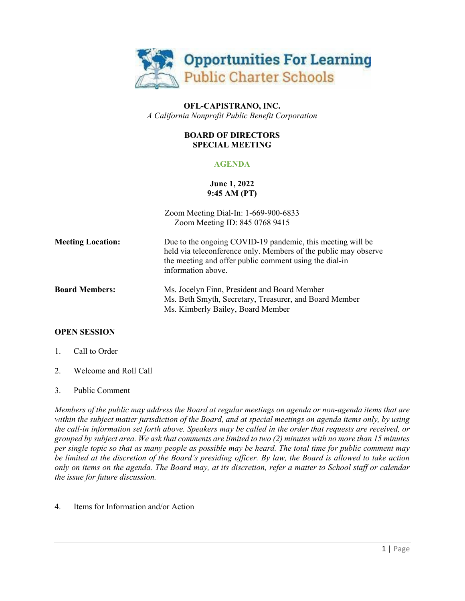

## **OFL-CAPISTRANO, INC.** *A California Nonprofit Public Benefit Corporation*

## **BOARD OF DIRECTORS SPECIAL MEETING**

## **AGENDA**

# **June 1, 2022 9:45 AM (PT)**

| Zoom Meeting Dial-In: 1-669-900-6833<br>Zoom Meeting ID: 845 0768 9415                                                                                                                                        |
|---------------------------------------------------------------------------------------------------------------------------------------------------------------------------------------------------------------|
| Due to the ongoing COVID-19 pandemic, this meeting will be<br>held via teleconference only. Members of the public may observe<br>the meeting and offer public comment using the dial-in<br>information above. |
| Ms. Jocelyn Finn, President and Board Member<br>Ms. Beth Smyth, Secretary, Treasurer, and Board Member<br>Ms. Kimberly Bailey, Board Member                                                                   |
|                                                                                                                                                                                                               |

## **OPEN SESSION**

- 1. Call to Order
- 2. Welcome and Roll Call

#### 3. Public Comment

*Members of the public may address the Board at regular meetings on agenda or non-agenda items that are within the subject matter jurisdiction of the Board, and at special meetings on agenda items only, by using the call-in information set forth above. Speakers may be called in the order that requests are received, or grouped by subject area. We ask that comments are limited to two (2) minutes with no more than 15 minutes per single topic so that as many people as possible may be heard. The total time for public comment may be limited at the discretion of the Board's presiding officer. By law, the Board is allowed to take action only on items on the agenda. The Board may, at its discretion, refer a matter to School staff or calendar the issue for future discussion.*

4. Items for Information and/or Action